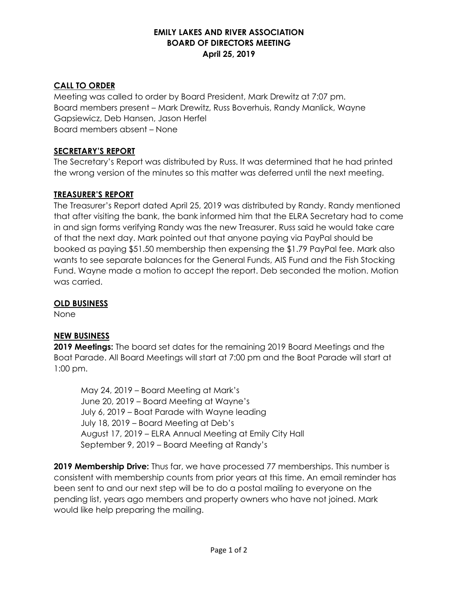## **EMILY LAKES AND RIVER ASSOCIATION BOARD OF DIRECTORS MEETING April 25, 2019**

## **CALL TO ORDER**

Meeting was called to order by Board President, Mark Drewitz at 7:07 pm. Board members present – Mark Drewitz, Russ Boverhuis, Randy Manlick, Wayne Gapsiewicz, Deb Hansen, Jason Herfel Board members absent – None

## **SECRETARY'S REPORT**

The Secretary's Report was distributed by Russ. It was determined that he had printed the wrong version of the minutes so this matter was deferred until the next meeting.

## **TREASURER'S REPORT**

The Treasurer's Report dated April 25, 2019 was distributed by Randy. Randy mentioned that after visiting the bank, the bank informed him that the ELRA Secretary had to come in and sign forms verifying Randy was the new Treasurer. Russ said he would take care of that the next day. Mark pointed out that anyone paying via PayPal should be booked as paying \$51.50 membership then expensing the \$1.79 PayPal fee. Mark also wants to see separate balances for the General Funds, AIS Fund and the Fish Stocking Fund. Wayne made a motion to accept the report. Deb seconded the motion. Motion was carried.

#### **OLD BUSINESS**

None

# **NEW BUSINESS**

**2019 Meetings:** The board set dates for the remaining 2019 Board Meetings and the Boat Parade. All Board Meetings will start at 7:00 pm and the Boat Parade will start at 1:00 pm.

May 24, 2019 – Board Meeting at Mark's June 20, 2019 – Board Meeting at Wayne's July 6, 2019 – Boat Parade with Wayne leading July 18, 2019 – Board Meeting at Deb's August 17, 2019 – ELRA Annual Meeting at Emily City Hall September 9, 2019 – Board Meeting at Randy's

**2019 Membership Drive:** Thus far, we have processed 77 memberships. This number is consistent with membership counts from prior years at this time. An email reminder has been sent to and our next step will be to do a postal mailing to everyone on the pending list, years ago members and property owners who have not joined. Mark would like help preparing the mailing.